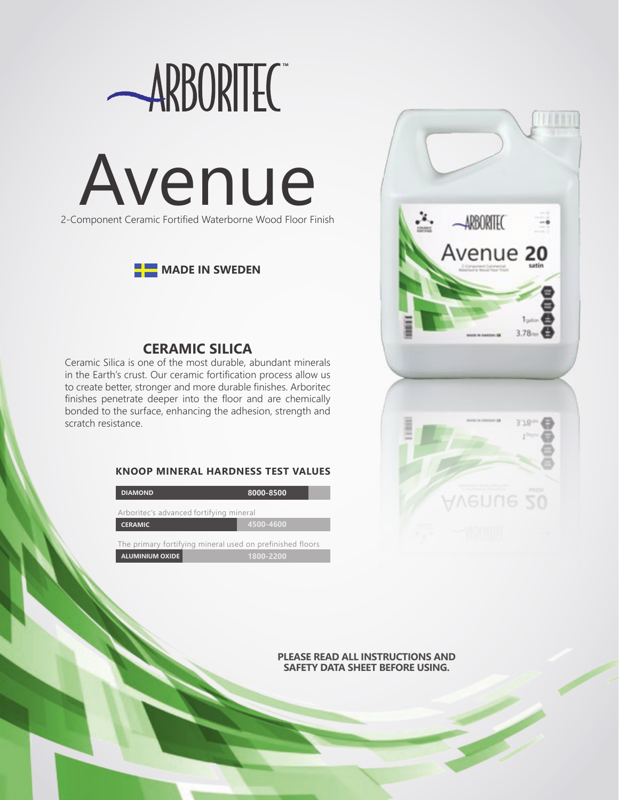





# **CERAMIC SILICA**

Ceramic Silica is one of the most durable, abundant minerals in the Earth's crust. Our ceramic fortification process allow us to create better, stronger and more durable finishes. Arboritec finishes penetrate deeper into the floor and are chemically bonded to the surface, enhancing the adhesion, strength and scratch resistance.

# **KNOOP MINERAL HARDNESS TEST VALUES**

| <b>DIAMOND</b>                                            | 8000-8500 |
|-----------------------------------------------------------|-----------|
| Arboritec's advanced fortifying mineral                   |           |
| <b>CERAMIC</b>                                            | 4500-4600 |
| The primary fortifying mineral used on prefinished floors |           |
| <b>ALUMINIUM OXIDE</b>                                    | 1800-2200 |



**PLEASE READ ALL INSTRUCTIONS AND SAFETY DATA SHEET BEFORE USING.**